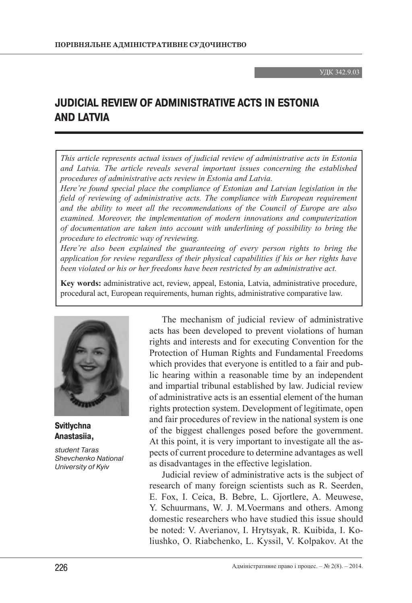УДК 342.9.03

## **JUDICIAL REVIEW OF ADMINISTRATIVE ACTS IN ESTONIA AND LATVIA**

*This article represents actual issues of judicial review of administrative acts in Estonia and Latvia. The article reveals several important issues concerning the established procedures of administrative acts review in Estonia and Latvia.* 

*Here're found special place the compliance of Estonian and Latvian legislation in the field of reviewing of administrative acts. The compliance with European requirement and the ability to meet all the recommendations of the Council of Europe are also examined. Moreover, the implementation of modern innovations and computerization of documentation are taken into account with underlining of possibility to bring the procedure to electronic way of reviewing.*

*Here're also been explained the guaranteeing of every person rights to bring the application for review regardless of their physical capabilities if his or her rights have been violated or his or her freedoms have been restricted by an administrative act.*

**Key words:** administrative act, review, appeal, Estonia, Latvia, administrative procedure, procedural act, European requirements, human rights, administrative comparative law.



**Svitlychna Anastasiia,**

student Taras Shevchenko National University of Kyiv

The mechanism of judicial review of administrative acts has been developed to prevent violations of human rights and interests and for executing Convention for the Protection of Human Rights and Fundamental Freedoms which provides that everyone is entitled to a fair and public hearing within a reasonable time by an independent and impartial tribunal established by law. Judicial review of administrative acts is an essential element of the human rights protection system. Development of legitimate, open and fair procedures of review in the national system is one of the biggest challenges posed before the government. At this point, it is very important to investigate all the aspects of current procedure to determine advantages as well as disadvantages in the effective legislation.

Judicial review of administrative acts is the subject of research of many foreign scientists such as R. Seerden, E. Fox, I. Ceica, B. Bebre, L. Gjortlere, A. Meuwese, Y. Schuurmans, W. J. M.Voermans and others. Among domestic researchers who have studied this issue should be noted: V. Averianov, I. Hrytsyak, R. Kuibida, I. Koliushko, O. Riabchenko, L. Kyssil, V. Kolpakov. At the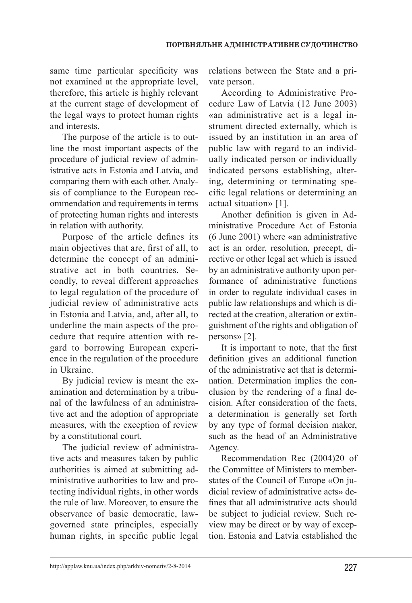same time particular specificity was not examined at the appropriate level, therefore, this article is highly relevant at the current stage of development of the legal ways to protect human rights and interests.

The purpose of the article is to outline the most important aspects of the procedure of judicial review of administrative acts in Estonia and Latvia, and comparing them with each other. Analysis of compliance to the European recommendation and requirements in terms of protecting human rights and interests in relation with authority.

Purpose of the article defines its main objectives that are, first of all, to determine the concept of an administrative act in both countries. Secondly, to reveal different approaches to legal regulation of the procedure of judicial review of administrative acts in Estonia and Latvia, and, after all, to underline the main aspects of the procedure that require attention with regard to borrowing European experience in the regulation of the procedure in Ukraine.

By judicial review is meant the examination and determination by a tribunal of the lawfulness of an administrative act and the adoption of appropriate measures, with the exception of review by a constitutional court.

The judicial review of administrative acts and measures taken by public authorities is aimed at submitting administrative authorities to law and protecting individual rights, in other words the rule of law. Moreover, to ensure the observance of basic democratic, lawgoverned state principles, especially human rights, in specific public legal

relations between the State and a private person.

According to Administrative Procedure Law of Latvia (12 June 2003) «an administrative act is a legal instrument directed externally, which is issued by an institution in an area of public law with regard to an individually indicated person or individually indicated persons establishing, altering, determining or terminating specific legal relations or determining an actual situation» [1].

Another definition is given in Administrative Procedure Act of Estonia (6 June 2001) where «an administrative act is an order, resolution, precept, directive or other legal act which is issued by an administrative authority upon performance of administrative functions in order to regulate individual cases in public law relationships and which is directed at the creation, alteration or extinguishment of the rights and obligation of persons» [2].

It is important to note, that the first definition gives an additional function of the administrative act that is determination. Determination implies the conclusion by the rendering of a final decision. After consideration of the facts, a determination is generally set forth by any type of formal decision maker, such as the head of an Administrative Agency.

Recommendation Rec (2004)20 of the Committee of Ministers to memberstates of the Council of Europe «On judicial review of administrative acts» defines that all administrative acts should be subject to judicial review. Such review may be direct or by way of exception. Estonia and Latvia established the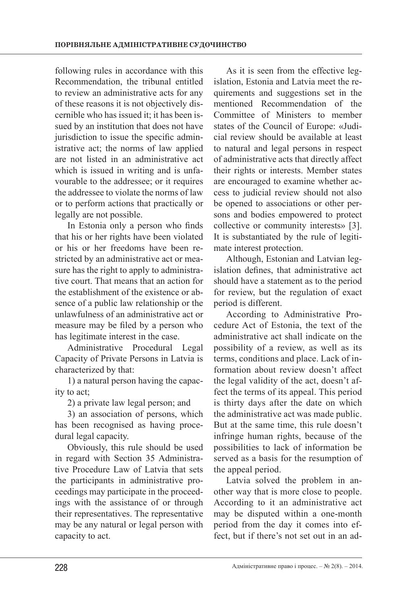following rules in accordance with this Recommendation, the tribunal entitled to review an administrative acts for any of these reasons it is not objectively discernible who has issued it; it has been issued by an institution that does not have jurisdiction to issue the specific administrative act; the norms of law applied are not listed in an administrative act which is issued in writing and is unfavourable to the addressee; or it requires the addressee to violate the norms of law or to perform actions that practically or legally are not possible.

In Estonia only a person who finds that his or her rights have been violated or his or her freedoms have been restricted by an administrative act or measure has the right to apply to administrative court. That means that an action for the establishment of the existence or absence of a public law relationship or the unlawfulness of an administrative act or measure may be filed by a person who has legitimate interest in the case.

Administrative Procedural Legal Capacity of Private Persons in Latvia is characterized by that:

1) a natural person having the capacity to act;

2) a private law legal person; and

3) an association of persons, which has been recognised as having procedural legal capacity.

Obviously, this rule should be used in regard with Section 35 Administrative Procedure Law of Latvia that sets the participants in administrative proceedings may participate in the proceedings with the assistance of or through their representatives. The representative may be any natural or legal person with capacity to act.

As it is seen from the effective legislation, Estonia and Latvia meet the requirements and suggestions set in the mentioned Recommendation of the Committee of Ministers to member states of the Council of Europe: «Judicial review should be available at least to natural and legal persons in respect of administrative acts that directly affect their rights or interests. Member states are encouraged to examine whether access to judicial review should not also be opened to associations or other persons and bodies empowered to protect collective or community interests» [3]. It is substantiated by the rule of legitimate interest protection.

Although, Estonian and Latvian legislation defines, that administrative act should have a statement as to the period for review, but the regulation of exact period is different.

According to Administrative Procedure Act of Estonia, the text of the administrative act shall indicate on the possibility of a review, as well as its terms, conditions and place. Lack of information about review doesn't affect the legal validity of the act, doesn't affect the terms of its appeal. This period is thirty days after the date on which the administrative act was made public. But at the same time, this rule doesn't infringe human rights, because of the possibilities to lack of information be served as a basis for the resumption of the appeal period.

Latvia solved the problem in another way that is more close to people. According to it an administrative act may be disputed within a one-month period from the day it comes into effect, but if there's not set out in an ad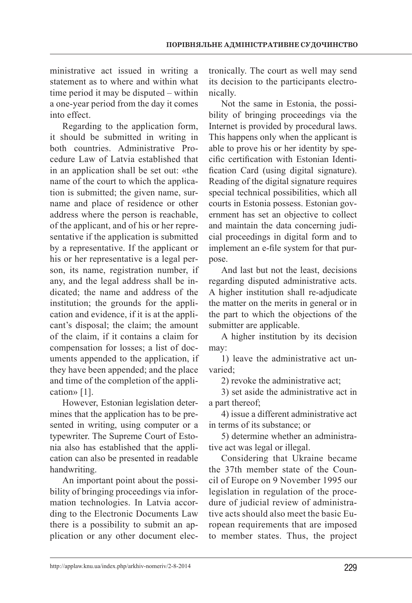ministrative act issued in writing a statement as to where and within what time period it may be disputed – within a one-year period from the day it comes into effect.

Regarding to the application form, it should be submitted in writing in both countries. Administrative Procedure Law of Latvia established that in an application shall be set out: «the name of the court to which the application is submitted; the given name, surname and place of residence or other address where the person is reachable, of the applicant, and of his or her representative if the application is submitted by a representative. If the applicant or his or her representative is a legal person, its name, registration number, if any, and the legal address shall be indicated; the name and address of the institution; the grounds for the application and evidence, if it is at the applicant's disposal; the claim; the amount of the claim, if it contains a claim for compensation for losses; a list of documents appended to the application, if they have been appended; and the place and time of the completion of the application» [1].

However, Estonian legislation determines that the application has to be presented in writing, using computer or a typewriter. The Supreme Court of Estonia also has established that the application can also be presented in readable handwriting.

An important point about the possibility of bringing proceedings via information technologies. In Latvia according to the Electronic Documents Law there is a possibility to submit an application or any other document electronically. The court as well may send its decision to the participants electronically.

Not the same in Estonia, the possibility of bringing proceedings via the Internet is provided by procedural laws. This happens only when the applicant is able to prove his or her identity by specific certification with Estonian Identification Card (using digital signature). Reading of the digital signature requires special technical possibilities, which all courts in Estonia possess. Estonian government has set an objective to collect and maintain the data concerning judicial proceedings in digital form and to implement an e-file system for that purpose.

And last but not the least, decisions regarding disputed administrative acts. A higher institution shall re-adjudicate the matter on the merits in general or in the part to which the objections of the submitter are applicable.

A higher institution by its decision may:

1) leave the administrative act unvaried;

2) revoke the administrative act;

3) set aside the administrative act in a part thereof;

4) issue a different administrative act in terms of its substance; or

5) determine whether an administrative act was legal or illegal.

Considering that Ukraine became the 37th member state of the Council of Europe on 9 November 1995 our legislation in regulation of the procedure of judicial review of administrative acts should also meet the basic European requirements that are imposed to member states. Thus, the project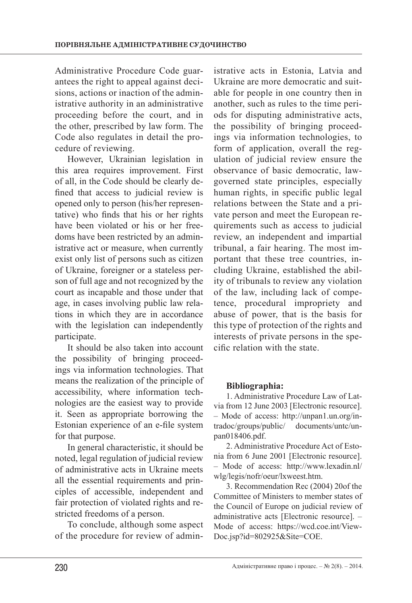Administrative Procedure Code guarantees the right to appeal against decisions, actions or inaction of the administrative authority in an administrative proceeding before the court, and in the other, prescribed by law form. The Code also regulates in detail the procedure of reviewing.

However, Ukrainian legislation in this area requires improvement. First of all, in the Code should be clearly defined that access to judicial review is opened only to person (his/her representative) who finds that his or her rights have been violated or his or her freedoms have been restricted by an administrative act or measure, when currently exist only list of persons such as citizen of Ukraine, foreigner or a stateless person of full age and not recognized by the court as incapable and those under that age, in cases involving public law relations in which they are in accordance with the legislation can independently participate.

It should be also taken into account the possibility of bringing proceedings via information technologies. That means the realization of the principle of accessibility, where information technologies are the easiest way to provide it. Seen as appropriate borrowing the Estonian experience of an e-file system for that purpose.

In general characteristic, it should be noted, legal regulation of judicial review of administrative acts in Ukraine meets all the essential requirements and principles of accessible, independent and fair protection of violated rights and restricted freedoms of a person.

To conclude, although some aspect of the procedure for review of admin-

istrative acts in Estonia, Latvia and Ukraine are more democratic and suitable for people in one country then in another, such as rules to the time periods for disputing administrative acts, the possibility of bringing proceedings via information technologies, to form of application, overall the regulation of judicial review ensure the observance of basic democratic, lawgoverned state principles, especially human rights, in specific public legal relations between the State and a private person and meet the European requirements such as access to judicial review, an independent and impartial tribunal, a fair hearing. The most important that these tree countries, including Ukraine, established the ability of tribunals to review any violation of the law, including lack of competence, procedural impropriety and abuse of power, that is the basis for this type of protection of the rights and interests of private persons in the specific relation with the state.

## **Bibliographia:**

1. Administrative Procedure Law of Latvia from 12 June 2003 [Electronic resource]. – Mode of access: http://unpan1.un.org/intradoc/groups/public/ documents/untc/unpan018406.pdf.

2. Administrative Procedure Act of Estonia from 6 June 2001 [Electronic resource]. – Mode of access: http://www.lexadin.nl/ wlg/legis/nofr/oeur/lxweest.htm.

3. Recommendation Rec (2004) 20of the Committee of Ministers to member states of the Council of Europe on judicial review of administrative acts [Electronic resource]. – Mode of access: https://wcd.coe.int/View-Doc.jsp?id=802925&Site=COE.